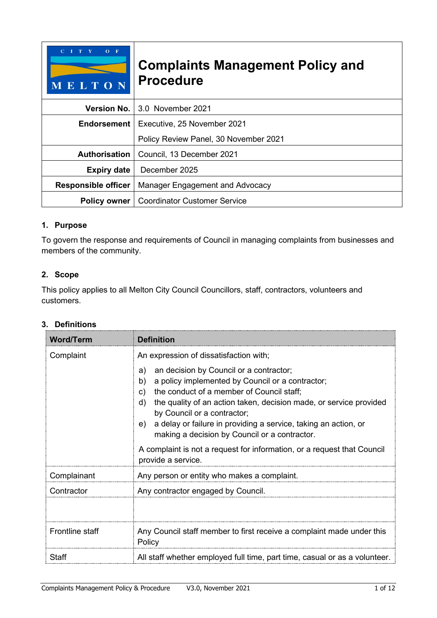| MELTON                                     | <b>Complaints Management Policy and</b><br><b>Procedure</b> |  |
|--------------------------------------------|-------------------------------------------------------------|--|
| <b>Version No.</b>                         | 3.0 November 2021                                           |  |
| Endorsement<br>Executive, 25 November 2021 |                                                             |  |
|                                            | Policy Review Panel, 30 November 2021                       |  |
| <b>Authorisation</b>                       | Council, 13 December 2021                                   |  |
| <b>Expiry date</b>                         | December 2025                                               |  |
| <b>Responsible officer</b>                 | Manager Engagement and Advocacy                             |  |
| <b>Policy owner</b>                        | <b>Coordinator Customer Service</b>                         |  |

## **1. Purpose**

To govern the response and requirements of Council in managing complaints from businesses and members of the community.

# **2. Scope**

This policy applies to all Melton City Council Councillors, staff, contractors, volunteers and customers.

## **3. Definitions**

| <b>Word/Term</b> | <b>Definition</b>                                                                                                                                                                                                                                                                                                                                                                                                                         |  |
|------------------|-------------------------------------------------------------------------------------------------------------------------------------------------------------------------------------------------------------------------------------------------------------------------------------------------------------------------------------------------------------------------------------------------------------------------------------------|--|
| Complaint        | An expression of dissatisfaction with;<br>an decision by Council or a contractor;<br>a)<br>a policy implemented by Council or a contractor;<br>b)<br>the conduct of a member of Council staff;<br>C)<br>the quality of an action taken, decision made, or service provided<br>d)<br>by Council or a contractor;<br>a delay or failure in providing a service, taking an action, or<br>e)<br>making a decision by Council or a contractor. |  |
|                  | A complaint is not a request for information, or a request that Council<br>provide a service.                                                                                                                                                                                                                                                                                                                                             |  |
| Complainant      | Any person or entity who makes a complaint.                                                                                                                                                                                                                                                                                                                                                                                               |  |
| Contractor       | Any contractor engaged by Council.                                                                                                                                                                                                                                                                                                                                                                                                        |  |
| Frontline staff  | Any Council staff member to first receive a complaint made under this<br>Policy                                                                                                                                                                                                                                                                                                                                                           |  |
| <b>Staff</b>     | All staff whether employed full time, part time, casual or as a volunteer.                                                                                                                                                                                                                                                                                                                                                                |  |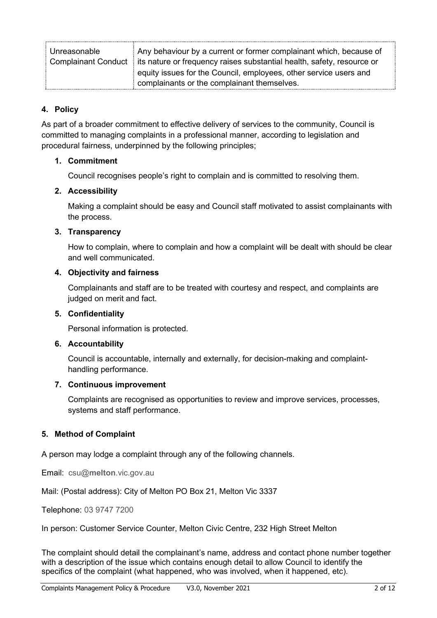| Unreasonable                                                                              | Any behaviour by a current or former complainant which, because of |
|-------------------------------------------------------------------------------------------|--------------------------------------------------------------------|
| Complainant Conduct is nature or frequency raises substantial health, safety, resource or |                                                                    |
|                                                                                           | equity issues for the Council, employees, other service users and  |
|                                                                                           | complainants or the complainant themselves.                        |

## **4. Policy**

As part of a broader commitment to effective delivery of services to the community, Council is committed to managing complaints in a professional manner, according to legislation and procedural fairness, underpinned by the following principles;

#### **1. Commitment**

Council recognises people's right to complain and is committed to resolving them.

#### **2. Accessibility**

Making a complaint should be easy and Council staff motivated to assist complainants with the process.

#### **3. Transparency**

How to complain, where to complain and how a complaint will be dealt with should be clear and well communicated.

#### **4. Objectivity and fairness**

Complainants and staff are to be treated with courtesy and respect, and complaints are judged on merit and fact.

#### **5. Confidentiality**

Personal information is protected.

#### **6. Accountability**

Council is accountable, internally and externally, for decision-making and complainthandling performance.

#### **7. Continuous improvement**

Complaints are recognised as opportunities to review and improve services, processes, systems and staff performance.

## **5. Method of Complaint**

A person may lodge a complaint through any of the following channels.

Email: csu@**melton**.vic.gov.au

Mail: (Postal address): City of Melton PO Box 21, Melton Vic 3337

Telephone: 03 9747 7200

In person: Customer Service Counter, Melton Civic Centre, 232 High Street Melton

The complaint should detail the complainant's name, address and contact phone number together with a description of the issue which contains enough detail to allow Council to identify the specifics of the complaint (what happened, who was involved, when it happened, etc).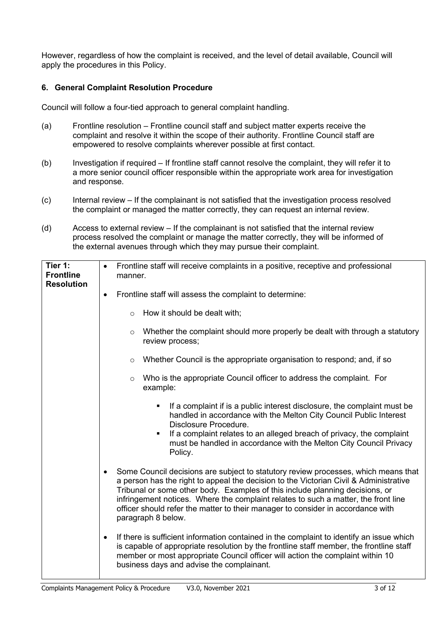However, regardless of how the complaint is received, and the level of detail available, Council will apply the procedures in this Policy.

#### **6. General Complaint Resolution Procedure**

Council will follow a four-tied approach to general complaint handling.

- (a) Frontline resolution Frontline council staff and subject matter experts receive the complaint and resolve it within the scope of their authority. Frontline Council staff are empowered to resolve complaints wherever possible at first contact.
- (b) Investigation if required If frontline staff cannot resolve the complaint, they will refer it to a more senior council officer responsible within the appropriate work area for investigation and response.
- (c) Internal review If the complainant is not satisfied that the investigation process resolved the complaint or managed the matter correctly, they can request an internal review.
- (d) Access to external review If the complainant is not satisfied that the internal review process resolved the complaint or manage the matter correctly, they will be informed of the external avenues through which they may pursue their complaint.

| Tier 1:<br><b>Frontline</b> | Frontline staff will receive complaints in a positive, receptive and professional<br>$\bullet$<br>manner.                                                                                                                                                                                                                                                                                                                                                               |  |  |
|-----------------------------|-------------------------------------------------------------------------------------------------------------------------------------------------------------------------------------------------------------------------------------------------------------------------------------------------------------------------------------------------------------------------------------------------------------------------------------------------------------------------|--|--|
| <b>Resolution</b>           | Frontline staff will assess the complaint to determine:<br>$\bullet$                                                                                                                                                                                                                                                                                                                                                                                                    |  |  |
|                             | How it should be dealt with;<br>$\circ$                                                                                                                                                                                                                                                                                                                                                                                                                                 |  |  |
|                             | Whether the complaint should more properly be dealt with through a statutory<br>$\circ$<br>review process;                                                                                                                                                                                                                                                                                                                                                              |  |  |
|                             | Whether Council is the appropriate organisation to respond; and, if so<br>$\circ$                                                                                                                                                                                                                                                                                                                                                                                       |  |  |
|                             | Who is the appropriate Council officer to address the complaint. For<br>$\circ$<br>example:                                                                                                                                                                                                                                                                                                                                                                             |  |  |
|                             | If a complaint if is a public interest disclosure, the complaint must be<br>٠<br>handled in accordance with the Melton City Council Public Interest<br>Disclosure Procedure.<br>If a complaint relates to an alleged breach of privacy, the complaint<br>must be handled in accordance with the Melton City Council Privacy<br>Policy.                                                                                                                                  |  |  |
|                             | Some Council decisions are subject to statutory review processes, which means that<br>$\bullet$<br>a person has the right to appeal the decision to the Victorian Civil & Administrative<br>Tribunal or some other body. Examples of this include planning decisions, or<br>infringement notices. Where the complaint relates to such a matter, the front line<br>officer should refer the matter to their manager to consider in accordance with<br>paragraph 8 below. |  |  |
|                             | If there is sufficient information contained in the complaint to identify an issue which<br>$\bullet$<br>is capable of appropriate resolution by the frontline staff member, the frontline staff<br>member or most appropriate Council officer will action the complaint within 10<br>business days and advise the complainant.                                                                                                                                         |  |  |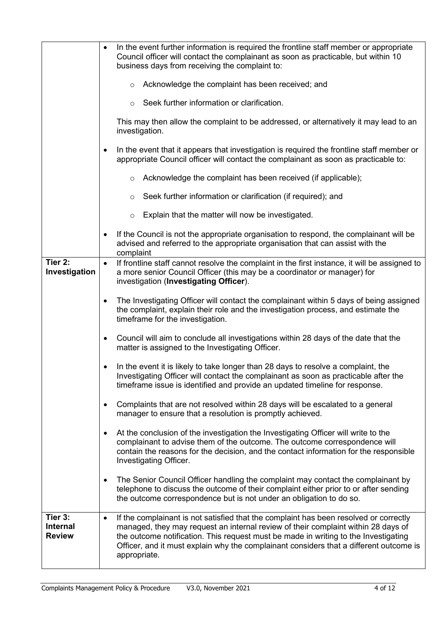|                                             | In the event further information is required the frontline staff member or appropriate<br>$\bullet$<br>Council officer will contact the complainant as soon as practicable, but within 10<br>business days from receiving the complaint to:                                                                                                                                              |  |
|---------------------------------------------|------------------------------------------------------------------------------------------------------------------------------------------------------------------------------------------------------------------------------------------------------------------------------------------------------------------------------------------------------------------------------------------|--|
|                                             | Acknowledge the complaint has been received; and<br>$\circ$                                                                                                                                                                                                                                                                                                                              |  |
|                                             | Seek further information or clarification.<br>$\circ$                                                                                                                                                                                                                                                                                                                                    |  |
|                                             | This may then allow the complaint to be addressed, or alternatively it may lead to an<br>investigation.                                                                                                                                                                                                                                                                                  |  |
|                                             | In the event that it appears that investigation is required the frontline staff member or<br>$\bullet$<br>appropriate Council officer will contact the complainant as soon as practicable to:                                                                                                                                                                                            |  |
|                                             | Acknowledge the complaint has been received (if applicable);<br>$\circ$                                                                                                                                                                                                                                                                                                                  |  |
|                                             | Seek further information or clarification (if required); and<br>O                                                                                                                                                                                                                                                                                                                        |  |
|                                             | Explain that the matter will now be investigated.<br>$\circ$                                                                                                                                                                                                                                                                                                                             |  |
|                                             | If the Council is not the appropriate organisation to respond, the complainant will be<br>$\bullet$<br>advised and referred to the appropriate organisation that can assist with the<br>complaint                                                                                                                                                                                        |  |
| Tier 2:<br>Investigation                    | If frontline staff cannot resolve the complaint in the first instance, it will be assigned to<br>$\bullet$<br>a more senior Council Officer (this may be a coordinator or manager) for<br>investigation (Investigating Officer).                                                                                                                                                         |  |
|                                             | The Investigating Officer will contact the complainant within 5 days of being assigned<br>$\bullet$<br>the complaint, explain their role and the investigation process, and estimate the<br>timeframe for the investigation.                                                                                                                                                             |  |
|                                             | Council will aim to conclude all investigations within 28 days of the date that the<br>$\bullet$<br>matter is assigned to the Investigating Officer.                                                                                                                                                                                                                                     |  |
|                                             | In the event it is likely to take longer than 28 days to resolve a complaint, the<br>Investigating Officer will contact the complainant as soon as practicable after the<br>timeframe issue is identified and provide an updated timeline for response.                                                                                                                                  |  |
|                                             | Complaints that are not resolved within 28 days will be escalated to a general<br>$\bullet$<br>manager to ensure that a resolution is promptly achieved.                                                                                                                                                                                                                                 |  |
|                                             | At the conclusion of the investigation the Investigating Officer will write to the<br>$\bullet$<br>complainant to advise them of the outcome. The outcome correspondence will<br>contain the reasons for the decision, and the contact information for the responsible<br>Investigating Officer.                                                                                         |  |
|                                             | The Senior Council Officer handling the complaint may contact the complainant by<br>$\bullet$<br>telephone to discuss the outcome of their complaint either prior to or after sending<br>the outcome correspondence but is not under an obligation to do so.                                                                                                                             |  |
| Tier 3:<br><b>Internal</b><br><b>Review</b> | If the complainant is not satisfied that the complaint has been resolved or correctly<br>$\bullet$<br>managed, they may request an internal review of their complaint within 28 days of<br>the outcome notification. This request must be made in writing to the Investigating<br>Officer, and it must explain why the complainant considers that a different outcome is<br>appropriate. |  |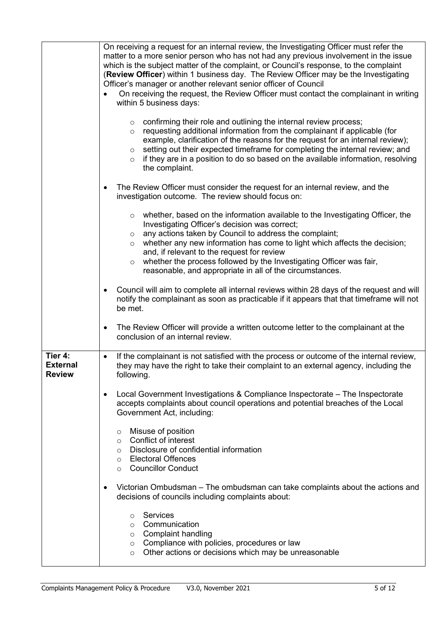|                                             | On receiving a request for an internal review, the Investigating Officer must refer the                                                                                                                                                                                                                                                                                                                                                                                                         |  |
|---------------------------------------------|-------------------------------------------------------------------------------------------------------------------------------------------------------------------------------------------------------------------------------------------------------------------------------------------------------------------------------------------------------------------------------------------------------------------------------------------------------------------------------------------------|--|
|                                             | matter to a more senior person who has not had any previous involvement in the issue<br>which is the subject matter of the complaint, or Council's response, to the complaint<br>(Review Officer) within 1 business day. The Review Officer may be the Investigating<br>Officer's manager or another relevant senior officer of Council                                                                                                                                                         |  |
|                                             | On receiving the request, the Review Officer must contact the complainant in writing<br>within 5 business days:                                                                                                                                                                                                                                                                                                                                                                                 |  |
|                                             | $\circ$ confirming their role and outlining the internal review process;<br>requesting additional information from the complainant if applicable (for<br>$\circ$<br>example, clarification of the reasons for the request for an internal review);<br>setting out their expected timeframe for completing the internal review; and<br>$\circ$<br>if they are in a position to do so based on the available information, resolving<br>$\circ$<br>the complaint.                                  |  |
|                                             | The Review Officer must consider the request for an internal review, and the<br>$\bullet$<br>investigation outcome. The review should focus on:                                                                                                                                                                                                                                                                                                                                                 |  |
|                                             | $\circ$ whether, based on the information available to the Investigating Officer, the<br>Investigating Officer's decision was correct;<br>any actions taken by Council to address the complaint;<br>$\circ$<br>whether any new information has come to light which affects the decision;<br>$\circ$<br>and, if relevant to the request for review<br>whether the process followed by the Investigating Officer was fair,<br>$\circ$<br>reasonable, and appropriate in all of the circumstances. |  |
|                                             | Council will aim to complete all internal reviews within 28 days of the request and will<br>$\bullet$<br>notify the complainant as soon as practicable if it appears that that timeframe will not<br>be met.                                                                                                                                                                                                                                                                                    |  |
|                                             | The Review Officer will provide a written outcome letter to the complainant at the<br>$\bullet$<br>conclusion of an internal review.                                                                                                                                                                                                                                                                                                                                                            |  |
| Tier 4:<br><b>External</b><br><b>Review</b> | If the complainant is not satisfied with the process or outcome of the internal review,<br>$\bullet$<br>they may have the right to take their complaint to an external agency, including the<br>following.                                                                                                                                                                                                                                                                                      |  |
|                                             | Local Government Investigations & Compliance Inspectorate - The Inspectorate<br>$\bullet$<br>accepts complaints about council operations and potential breaches of the Local<br>Government Act, including:                                                                                                                                                                                                                                                                                      |  |
|                                             | Misuse of position<br>O<br><b>Conflict of interest</b><br>$\circ$<br>Disclosure of confidential information<br>$\circ$<br><b>Electoral Offences</b><br>$\circ$<br><b>Councillor Conduct</b><br>$\circ$                                                                                                                                                                                                                                                                                          |  |
|                                             | Victorian Ombudsman – The ombudsman can take complaints about the actions and<br>$\bullet$<br>decisions of councils including complaints about:                                                                                                                                                                                                                                                                                                                                                 |  |
|                                             | <b>Services</b><br>$\circ$<br>Communication<br>$\circ$<br><b>Complaint handling</b><br>$\circ$<br>Compliance with policies, procedures or law<br>$\circ$<br>Other actions or decisions which may be unreasonable<br>$\circ$                                                                                                                                                                                                                                                                     |  |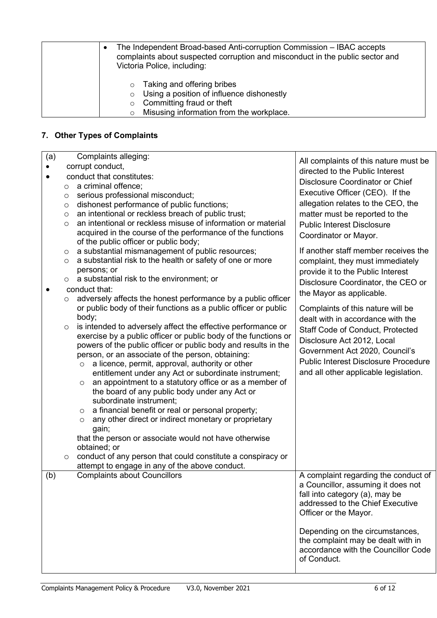| The Independent Broad-based Anti-corruption Commission - IBAC accepts<br>complaints about suspected corruption and misconduct in the public sector and<br>Victoria Police, including: |                                                   |
|---------------------------------------------------------------------------------------------------------------------------------------------------------------------------------------|---------------------------------------------------|
| $\circ$                                                                                                                                                                               | Taking and offering bribes                        |
|                                                                                                                                                                                       | $\circ$ Using a position of influence dishonestly |
|                                                                                                                                                                                       | Committing fraud or theft                         |
|                                                                                                                                                                                       | Misusing information from the workplace.          |

# **7. Other Types of Complaints**

| (a)       |                           | Complaints alleging:                                                                                            | All complaints of this nature must be       |
|-----------|---------------------------|-----------------------------------------------------------------------------------------------------------------|---------------------------------------------|
| $\bullet$ | corrupt conduct,          |                                                                                                                 | directed to the Public Interest             |
|           | conduct that constitutes: |                                                                                                                 | <b>Disclosure Coordinator or Chief</b>      |
|           | O                         | a criminal offence;                                                                                             |                                             |
|           | O                         | serious professional misconduct;                                                                                | Executive Officer (CEO). If the             |
|           | O                         | dishonest performance of public functions;                                                                      | allegation relates to the CEO, the          |
|           | $\circ$                   | an intentional or reckless breach of public trust;                                                              | matter must be reported to the              |
|           | $\circ$                   | an intentional or reckless misuse of information or material                                                    | <b>Public Interest Disclosure</b>           |
|           |                           | acquired in the course of the performance of the functions<br>of the public officer or public body;             | Coordinator or Mayor.                       |
|           | $\circ$                   | a substantial mismanagement of public resources;                                                                | If another staff member receives the        |
|           | O                         | a substantial risk to the health or safety of one or more                                                       | complaint, they must immediately            |
|           |                           | persons; or                                                                                                     | provide it to the Public Interest           |
|           | $\circ$                   | a substantial risk to the environment; or                                                                       | Disclosure Coordinator, the CEO or          |
| $\bullet$ |                           | conduct that:                                                                                                   | the Mayor as applicable.                    |
|           | O                         | adversely affects the honest performance by a public officer                                                    |                                             |
|           |                           | or public body of their functions as a public officer or public                                                 | Complaints of this nature will be           |
|           |                           | body;                                                                                                           | dealt with in accordance with the           |
|           | $\circ$                   | is intended to adversely affect the effective performance or                                                    | <b>Staff Code of Conduct, Protected</b>     |
|           |                           | exercise by a public officer or public body of the functions or                                                 | Disclosure Act 2012, Local                  |
|           |                           | powers of the public officer or public body and results in the                                                  | Government Act 2020, Council's              |
|           |                           | person, or an associate of the person, obtaining:<br>a licence, permit, approval, authority or other<br>$\circ$ | <b>Public Interest Disclosure Procedure</b> |
|           |                           | entitlement under any Act or subordinate instrument;                                                            | and all other applicable legislation.       |
|           |                           | an appointment to a statutory office or as a member of<br>$\circ$                                               |                                             |
|           |                           | the board of any public body under any Act or                                                                   |                                             |
|           |                           | subordinate instrument;                                                                                         |                                             |
|           |                           | a financial benefit or real or personal property;<br>$\circ$                                                    |                                             |
|           |                           | any other direct or indirect monetary or proprietary<br>$\circ$                                                 |                                             |
|           |                           | gain;                                                                                                           |                                             |
|           |                           | that the person or associate would not have otherwise                                                           |                                             |
|           |                           | obtained; or                                                                                                    |                                             |
|           | $\circ$                   | conduct of any person that could constitute a conspiracy or                                                     |                                             |
| (b)       |                           | attempt to engage in any of the above conduct.<br><b>Complaints about Councillors</b>                           | A complaint regarding the conduct of        |
|           |                           |                                                                                                                 | a Councillor, assuming it does not          |
|           |                           |                                                                                                                 | fall into category (a), may be              |
|           |                           |                                                                                                                 | addressed to the Chief Executive            |
|           |                           |                                                                                                                 | Officer or the Mayor.                       |
|           |                           |                                                                                                                 |                                             |
|           |                           |                                                                                                                 | Depending on the circumstances,             |
|           |                           |                                                                                                                 | the complaint may be dealt with in          |
|           |                           |                                                                                                                 | accordance with the Councillor Code         |
|           |                           |                                                                                                                 | of Conduct.                                 |
|           |                           |                                                                                                                 |                                             |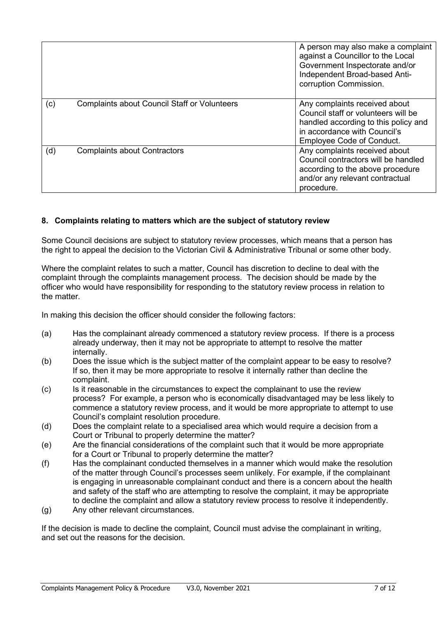|     |                                                     | A person may also make a complaint<br>against a Councillor to the Local<br>Government Inspectorate and/or<br>Independent Broad-based Anti-<br>corruption Commission.             |
|-----|-----------------------------------------------------|----------------------------------------------------------------------------------------------------------------------------------------------------------------------------------|
| (c) | <b>Complaints about Council Staff or Volunteers</b> | Any complaints received about<br>Council staff or volunteers will be<br>handled according to this policy and<br>in accordance with Council's<br><b>Employee Code of Conduct.</b> |
| (d) | <b>Complaints about Contractors</b>                 | Any complaints received about<br>Council contractors will be handled<br>according to the above procedure<br>and/or any relevant contractual<br>procedure.                        |

## **8. Complaints relating to matters which are the subject of statutory review**

Some Council decisions are subject to statutory review processes, which means that a person has the right to appeal the decision to the Victorian Civil & Administrative Tribunal or some other body.

Where the complaint relates to such a matter, Council has discretion to decline to deal with the complaint through the complaints management process. The decision should be made by the officer who would have responsibility for responding to the statutory review process in relation to the matter.

In making this decision the officer should consider the following factors:

- (a) Has the complainant already commenced a statutory review process. If there is a process already underway, then it may not be appropriate to attempt to resolve the matter internally.
- (b) Does the issue which is the subject matter of the complaint appear to be easy to resolve? If so, then it may be more appropriate to resolve it internally rather than decline the complaint.
- (c) Is it reasonable in the circumstances to expect the complainant to use the review process? For example, a person who is economically disadvantaged may be less likely to commence a statutory review process, and it would be more appropriate to attempt to use Council's complaint resolution procedure.
- (d) Does the complaint relate to a specialised area which would require a decision from a Court or Tribunal to properly determine the matter?
- (e) Are the financial considerations of the complaint such that it would be more appropriate for a Court or Tribunal to properly determine the matter?
- (f) Has the complainant conducted themselves in a manner which would make the resolution of the matter through Council's processes seem unlikely. For example, if the complainant is engaging in unreasonable complainant conduct and there is a concern about the health and safety of the staff who are attempting to resolve the complaint, it may be appropriate to decline the complaint and allow a statutory review process to resolve it independently.
- (g) Any other relevant circumstances.

If the decision is made to decline the complaint, Council must advise the complainant in writing, and set out the reasons for the decision.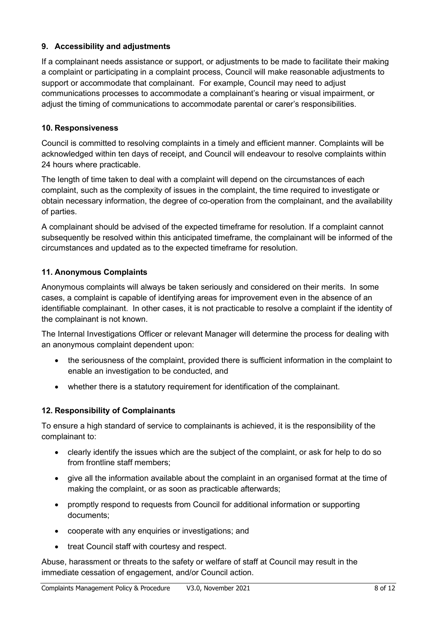# **9. Accessibility and adjustments**

If a complainant needs assistance or support, or adjustments to be made to facilitate their making a complaint or participating in a complaint process, Council will make reasonable adjustments to support or accommodate that complainant. For example, Council may need to adjust communications processes to accommodate a complainant's hearing or visual impairment, or adjust the timing of communications to accommodate parental or carer's responsibilities.

# **10. Responsiveness**

Council is committed to resolving complaints in a timely and efficient manner. Complaints will be acknowledged within ten days of receipt, and Council will endeavour to resolve complaints within 24 hours where practicable.

The length of time taken to deal with a complaint will depend on the circumstances of each complaint, such as the complexity of issues in the complaint, the time required to investigate or obtain necessary information, the degree of co-operation from the complainant, and the availability of parties.

A complainant should be advised of the expected timeframe for resolution. If a complaint cannot subsequently be resolved within this anticipated timeframe, the complainant will be informed of the circumstances and updated as to the expected timeframe for resolution.

# **11. Anonymous Complaints**

Anonymous complaints will always be taken seriously and considered on their merits. In some cases, a complaint is capable of identifying areas for improvement even in the absence of an identifiable complainant. In other cases, it is not practicable to resolve a complaint if the identity of the complainant is not known.

The Internal Investigations Officer or relevant Manager will determine the process for dealing with an anonymous complaint dependent upon:

- the seriousness of the complaint, provided there is sufficient information in the complaint to enable an investigation to be conducted, and
- whether there is a statutory requirement for identification of the complainant.

# **12. Responsibility of Complainants**

To ensure a high standard of service to complainants is achieved, it is the responsibility of the complainant to:

- clearly identify the issues which are the subject of the complaint, or ask for help to do so from frontline staff members;
- give all the information available about the complaint in an organised format at the time of making the complaint, or as soon as practicable afterwards;
- promptly respond to requests from Council for additional information or supporting documents;
- cooperate with any enquiries or investigations; and
- treat Council staff with courtesy and respect.

Abuse, harassment or threats to the safety or welfare of staff at Council may result in the immediate cessation of engagement, and/or Council action.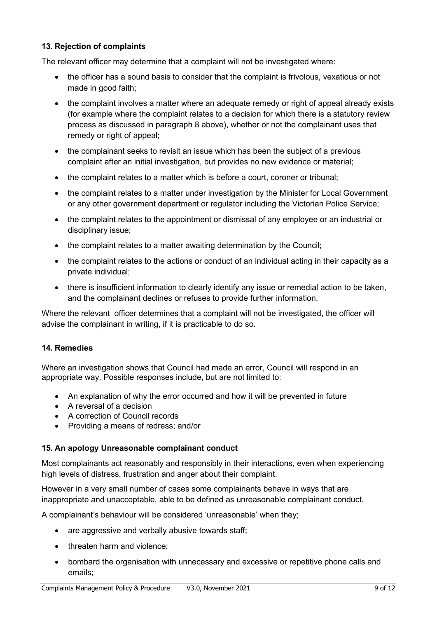## **13. Rejection of complaints**

The relevant officer may determine that a complaint will not be investigated where:

- the officer has a sound basis to consider that the complaint is frivolous, vexatious or not made in good faith;
- the complaint involves a matter where an adequate remedy or right of appeal already exists (for example where the complaint relates to a decision for which there is a statutory review process as discussed in paragraph 8 above), whether or not the complainant uses that remedy or right of appeal:
- the complainant seeks to revisit an issue which has been the subject of a previous complaint after an initial investigation, but provides no new evidence or material;
- the complaint relates to a matter which is before a court, coroner or tribunal:
- the complaint relates to a matter under investigation by the Minister for Local Government or any other government department or regulator including the Victorian Police Service;
- the complaint relates to the appointment or dismissal of any employee or an industrial or disciplinary issue;
- the complaint relates to a matter awaiting determination by the Council;
- the complaint relates to the actions or conduct of an individual acting in their capacity as a private individual;
- there is insufficient information to clearly identify any issue or remedial action to be taken, and the complainant declines or refuses to provide further information.

Where the relevant officer determines that a complaint will not be investigated, the officer will advise the complainant in writing, if it is practicable to do so.

#### **14. Remedies**

Where an investigation shows that Council had made an error, Council will respond in an appropriate way. Possible responses include, but are not limited to:

- An explanation of why the error occurred and how it will be prevented in future
- A reversal of a decision
- A correction of Council records
- Providing a means of redress; and/or

#### **15. An apology Unreasonable complainant conduct**

Most complainants act reasonably and responsibly in their interactions, even when experiencing high levels of distress, frustration and anger about their complaint.

However in a very small number of cases some complainants behave in ways that are inappropriate and unacceptable, able to be defined as unreasonable complainant conduct.

A complainant's behaviour will be considered 'unreasonable' when they;

- are aggressive and verbally abusive towards staff;
- threaten harm and violence:
- bombard the organisation with unnecessary and excessive or repetitive phone calls and emails;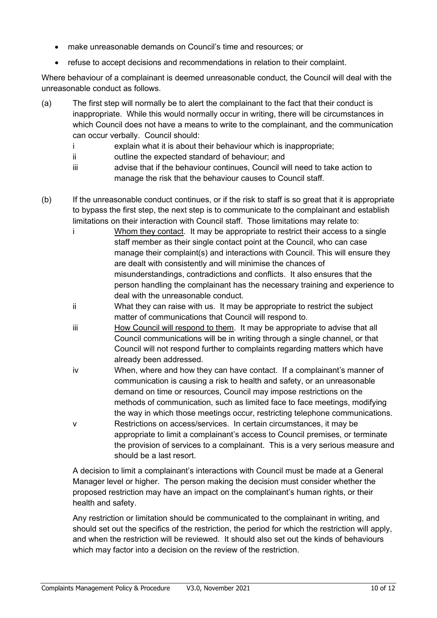- make unreasonable demands on Council's time and resources; or
- refuse to accept decisions and recommendations in relation to their complaint.

Where behaviour of a complainant is deemed unreasonable conduct, the Council will deal with the unreasonable conduct as follows.

- (a) The first step will normally be to alert the complainant to the fact that their conduct is inappropriate. While this would normally occur in writing, there will be circumstances in which Council does not have a means to write to the complainant, and the communication can occur verbally. Council should:
	- i explain what it is about their behaviour which is inappropriate;
	- ii outline the expected standard of behaviour; and
	- iii advise that if the behaviour continues, Council will need to take action to manage the risk that the behaviour causes to Council staff.
- (b) If the unreasonable conduct continues, or if the risk to staff is so great that it is appropriate to bypass the first step, the next step is to communicate to the complainant and establish limitations on their interaction with Council staff. Those limitations may relate to:
	- i Whom they contact. It may be appropriate to restrict their access to a single staff member as their single contact point at the Council, who can case manage their complaint(s) and interactions with Council. This will ensure they are dealt with consistently and will minimise the chances of misunderstandings, contradictions and conflicts. It also ensures that the person handling the complainant has the necessary training and experience to deal with the unreasonable conduct.
	- ii What they can raise with us. It may be appropriate to restrict the subject matter of communications that Council will respond to.
	- iii How Council will respond to them. It may be appropriate to advise that all Council communications will be in writing through a single channel, or that Council will not respond further to complaints regarding matters which have already been addressed.
	- iv When, where and how they can have contact. If a complainant's manner of communication is causing a risk to health and safety, or an unreasonable demand on time or resources, Council may impose restrictions on the methods of communication, such as limited face to face meetings, modifying the way in which those meetings occur, restricting telephone communications.
	- v Restrictions on access/services. In certain circumstances, it may be appropriate to limit a complainant's access to Council premises, or terminate the provision of services to a complainant. This is a very serious measure and should be a last resort.

A decision to limit a complainant's interactions with Council must be made at a General Manager level or higher. The person making the decision must consider whether the proposed restriction may have an impact on the complainant's human rights, or their health and safety.

Any restriction or limitation should be communicated to the complainant in writing, and should set out the specifics of the restriction, the period for which the restriction will apply, and when the restriction will be reviewed. It should also set out the kinds of behaviours which may factor into a decision on the review of the restriction.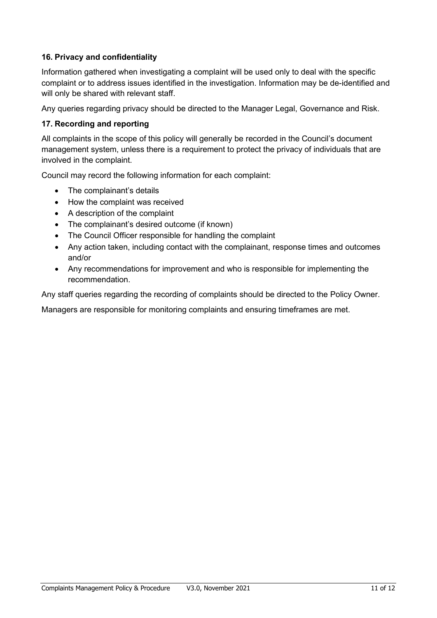# **16. Privacy and confidentiality**

Information gathered when investigating a complaint will be used only to deal with the specific complaint or to address issues identified in the investigation. Information may be de-identified and will only be shared with relevant staff.

Any queries regarding privacy should be directed to the Manager Legal, Governance and Risk.

## **17. Recording and reporting**

All complaints in the scope of this policy will generally be recorded in the Council's document management system, unless there is a requirement to protect the privacy of individuals that are involved in the complaint.

Council may record the following information for each complaint:

- The complainant's details
- How the complaint was received
- A description of the complaint
- The complainant's desired outcome (if known)
- The Council Officer responsible for handling the complaint
- Any action taken, including contact with the complainant, response times and outcomes and/or
- Any recommendations for improvement and who is responsible for implementing the recommendation.

Any staff queries regarding the recording of complaints should be directed to the Policy Owner.

Managers are responsible for monitoring complaints and ensuring timeframes are met.